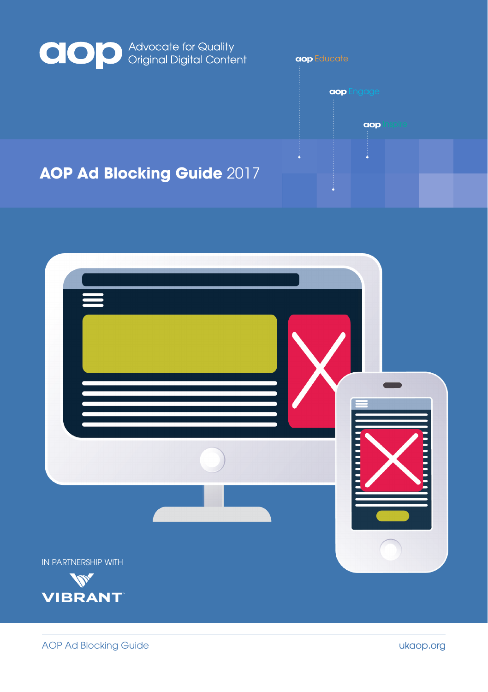

### **AOP Ad Blocking Guide** 2017





**Educate**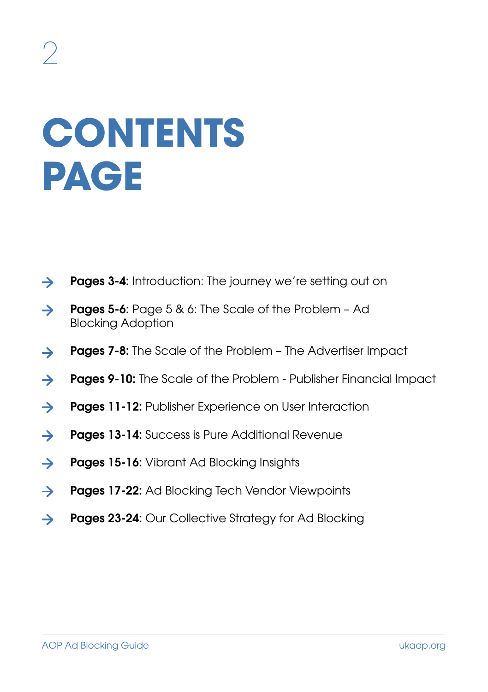# **CONTENTS PAGE**

- $\rightarrow$ **Pages 3-4:** Introduction: The journey we're setting out on
- Pages 5-6: Page 5 & 6: The Scale of the Problem Ad  $\rightarrow$ Blocking Adoption
- Pages 7-8: The Scale of the Problem The Advertiser Impact  $\rightarrow$
- Pages 9-10: The Scale of the Problem Publisher Financial Impact  $\rightarrow$
- $\rightarrow$ Pages 11-12: Publisher Experience on User Interaction
- **Pages 13-14:** Success is Pure Additional Revenue  $\rightarrow$
- $\rightarrow$ **Pages 15-16:** Vibrant Ad Blocking Insights
- $\rightarrow$ Pages 17-22: Ad Blocking Tech Vendor Viewpoints
- Pages 23-24: Our Collective Strategy for Ad Blocking  $\rightarrow$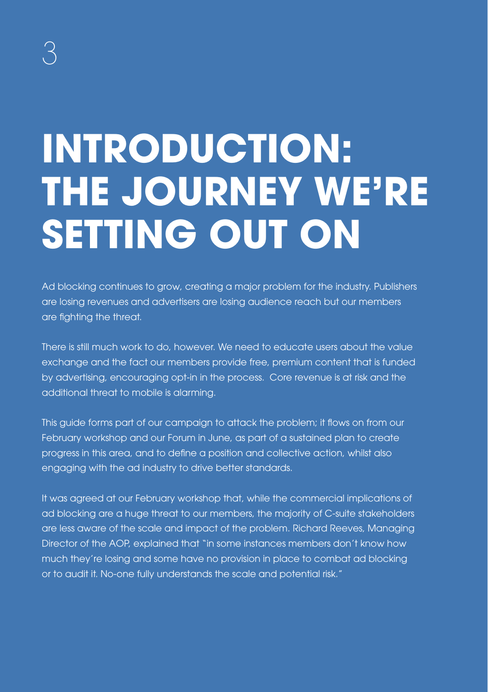# **INTRODUCTION: THE JOURNEY WE'RE SETTING OUT ON**

Ad blocking continues to grow, creating a major problem for the industry. Publishers are losing revenues and advertisers are losing audience reach but our members are fighting the threat.

There is still much work to do, however. We need to educate users about the value exchange and the fact our members provide free, premium content that is funded by advertising, encouraging opt-in in the process. Core revenue is at risk and the additional threat to mobile is alarming.

This guide forms part of our campaign to attack the problem; it flows on from our February workshop and our Forum in June, as part of a sustained plan to create progress in this area, and to define a position and collective action, whilst also engaging with the ad industry to drive better standards.

It was agreed at our February workshop that, while the commercial implications of ad blocking are a huge threat to our members, the majority of C-suite stakeholders are less aware of the scale and impact of the problem. Richard Reeves, Managing Director of the AOP, explained that "in some instances members don't know how much they're losing and some have no provision in place to combat ad blocking or to audit it. No-one fully understands the scale and potential risk."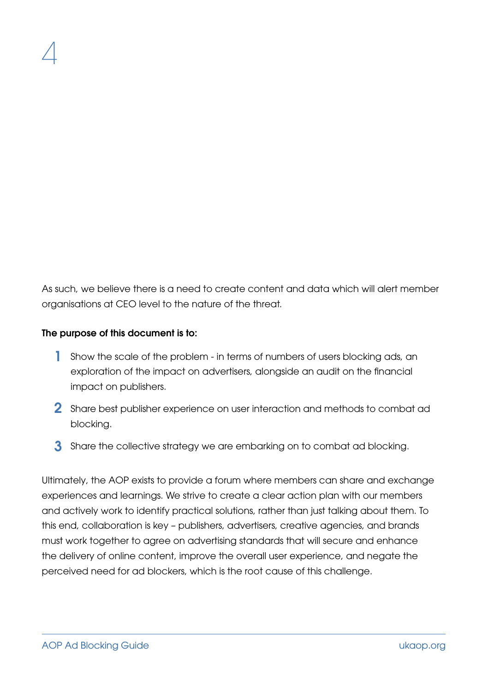As such, we believe there is a need to create content and data which will alert member organisations at CEO level to the nature of the threat.

#### The purpose of this document is to:

- 1 Show the scale of the problem in terms of numbers of users blocking ads, an exploration of the impact on advertisers, alongside an audit on the financial impact on publishers.
- $\, 2 \,$  Share best publisher experience on user interaction and methods to combat ad blocking.
- $\bf 3$  Share the collective strategy we are embarking on to combat ad blocking.

Ultimately, the AOP exists to provide a forum where members can share and exchange experiences and learnings. We strive to create a clear action plan with our members and actively work to identify practical solutions, rather than just talking about them. To this end, collaboration is key – publishers, advertisers, creative agencies, and brands must work together to agree on advertising standards that will secure and enhance the delivery of online content, improve the overall user experience, and negate the perceived need for ad blockers, which is the root cause of this challenge.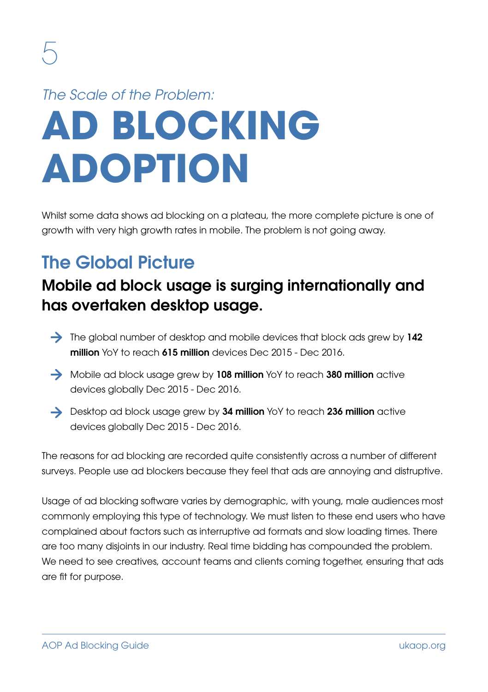## **AD BLOCKING ADOPTION** *The Scale of the Problem:*

Whilst some data shows ad blocking on a plateau, the more complete picture is one of growth with very high growth rates in mobile. The problem is not going away.

### The Global Picture

#### Mobile ad block usage is surging internationally and has overtaken desktop usage.

- $\rightarrow$  The global number of desktop and mobile devices that block ads grew by 142 million YoY to reach 615 million devices Dec 2015 - Dec 2016.
- Mobile ad block usage grew by 108 million YoY to reach 380 million active devices globally Dec 2015 - Dec 2016.
- $\rightarrow$  Desktop ad block usage grew by 34 million YoY to reach 236 million active devices globally Dec 2015 - Dec 2016.

The reasons for ad blocking are recorded quite consistently across a number of different surveys. People use ad blockers because they feel that ads are annoying and distruptive.

Usage of ad blocking software varies by demographic, with young, male audiences most commonly employing this type of technology. We must listen to these end users who have complained about factors such as interruptive ad formats and slow loading times. There are too many disjoints in our industry. Real time bidding has compounded the problem. We need to see creatives, account teams and clients coming together, ensuring that ads are fit for purpose.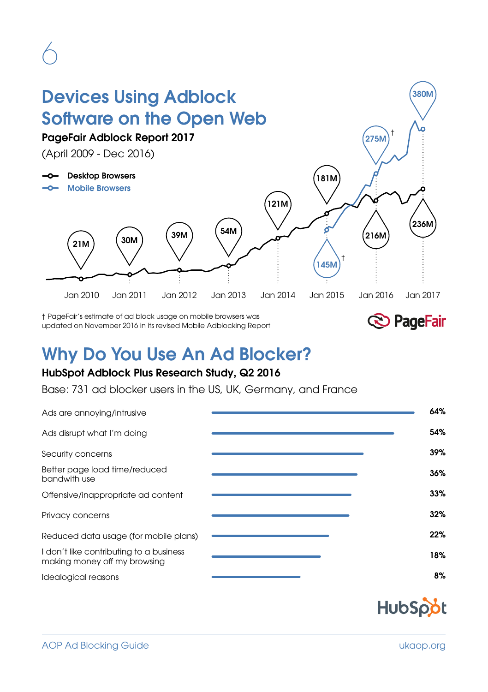## Devices Using Adblock Software on the Open Web

PageFair Adblock Report 2017

(April 2009 - Dec 2016)

-O- Desktop Browsers

-O- Mobile Browsers





380M

181M

† PageFair's estimate of ad block usage on mobile browsers was updated on November 2016 in its revised Mobile Adblocking Report



## Why Do You Use An Ad Blocker?

#### HubSpot Adblock Plus Research Study, Q2 2016

Base: 731 ad blocker users in the US, UK, Germany, and France

| Ads are annoying/intrusive                                              | 64% |
|-------------------------------------------------------------------------|-----|
| Ads disrupt what I'm doing                                              | 54% |
| Security concerns                                                       | 39% |
| Better page load time/reduced<br>bandwith use                           | 36% |
| Offensive/inappropriate ad content                                      | 33% |
| Privacy concerns                                                        | 32% |
| Reduced data usage (for mobile plans)                                   | 22% |
| I don't like contributing to a business<br>making money off my browsing | 18% |
| Idealogical reasons                                                     | 8%  |

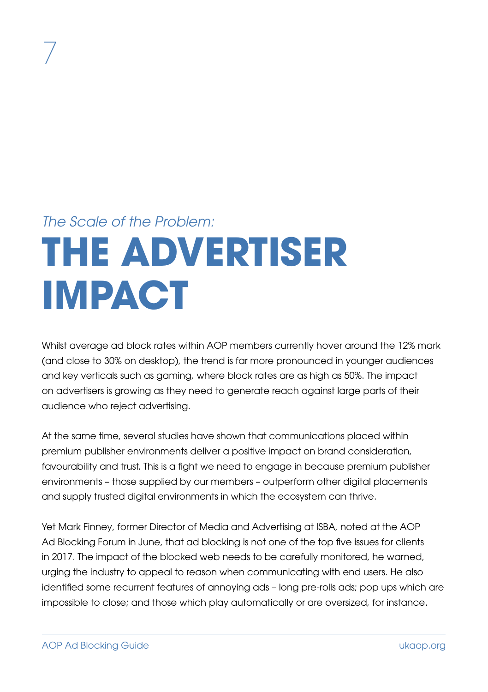## **THE ADVERTISER IMPACT** *The Scale of the Problem:*

Whilst average ad block rates within AOP members currently hover around the 12% mark (and close to 30% on desktop), the trend is far more pronounced in younger audiences and key verticals such as gaming, where block rates are as high as 50%. The impact on advertisers is growing as they need to generate reach against large parts of their audience who reject advertising.

At the same time, several studies have shown that communications placed within premium publisher environments deliver a positive impact on brand consideration, favourability and trust. This is a fight we need to engage in because premium publisher environments – those supplied by our members – outperform other digital placements and supply trusted digital environments in which the ecosystem can thrive.

Yet Mark Finney, former Director of Media and Advertising at ISBA, noted at the AOP Ad Blocking Forum in June, that ad blocking is not one of the top five issues for clients in 2017. The impact of the blocked web needs to be carefully monitored, he warned, urging the industry to appeal to reason when communicating with end users. He also identified some recurrent features of annoying ads – long pre-rolls ads; pop ups which are impossible to close; and those which play automatically or are oversized, for instance.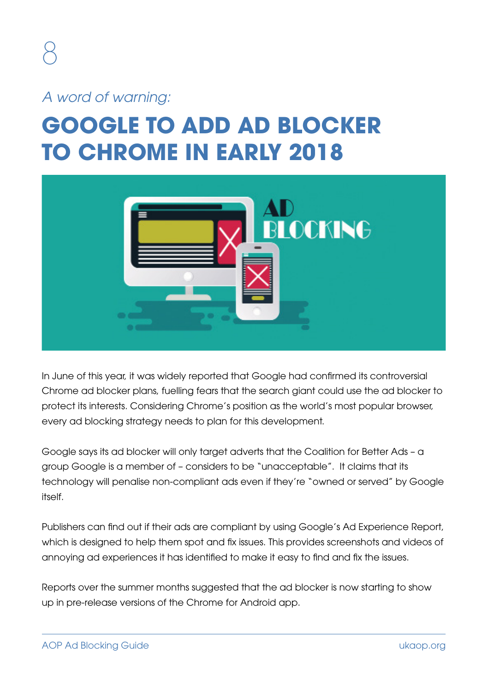*A word of warning:*

## **GOOGLE TO ADD AD BLOCKER TO CHROME IN EARLY 2018**



In June of this year, it was widely reported that Google had confirmed its controversial Chrome ad blocker plans, fuelling fears that the search giant could use the ad blocker to protect its interests. Considering Chrome's position as the world's most popular browser, every ad blocking strategy needs to plan for this development.

Google says its ad blocker will only target adverts that the Coalition for Better Ads – a group Google is a member of – considers to be "unacceptable". It claims that its technology will penalise non-compliant ads even if they're "owned or served" by Google itself.

Publishers can find out if their ads are compliant by using Google's Ad Experience Report, which is designed to help them spot and fix issues. This provides screenshots and videos of annoying ad experiences it has identified to make it easy to find and fix the issues.

Reports over the summer months suggested that the ad blocker is now starting to show up in pre-release versions of the Chrome for Android app.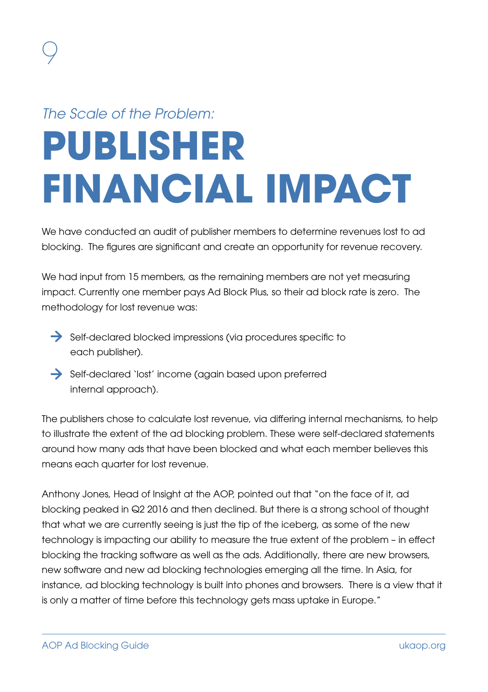## **PUBLISHER FINANCIAL IMPACT** *The Scale of the Problem:*

We have conducted an audit of publisher members to determine revenues lost to ad blocking. The figures are significant and create an opportunity for revenue recovery.

We had input from 15 members, as the remaining members are not yet measuring impact. Currently one member pays Ad Block Plus, so their ad block rate is zero. The methodology for lost revenue was:

- Self-declared blocked impressions (via procedures specific to each publisher).
- Self-declared 'lost' income (again based upon preferred internal approach).

The publishers chose to calculate lost revenue, via differing internal mechanisms, to help to illustrate the extent of the ad blocking problem. These were self-declared statements around how many ads that have been blocked and what each member believes this means each quarter for lost revenue.

Anthony Jones, Head of Insight at the AOP, pointed out that "on the face of it, ad blocking peaked in Q2 2016 and then declined. But there is a strong school of thought that what we are currently seeing is just the tip of the iceberg, as some of the new technology is impacting our ability to measure the true extent of the problem – in effect blocking the tracking software as well as the ads. Additionally, there are new browsers, new software and new ad blocking technologies emerging all the time. In Asia, for instance, ad blocking technology is built into phones and browsers. There is a view that it is only a matter of time before this technology gets mass uptake in Europe."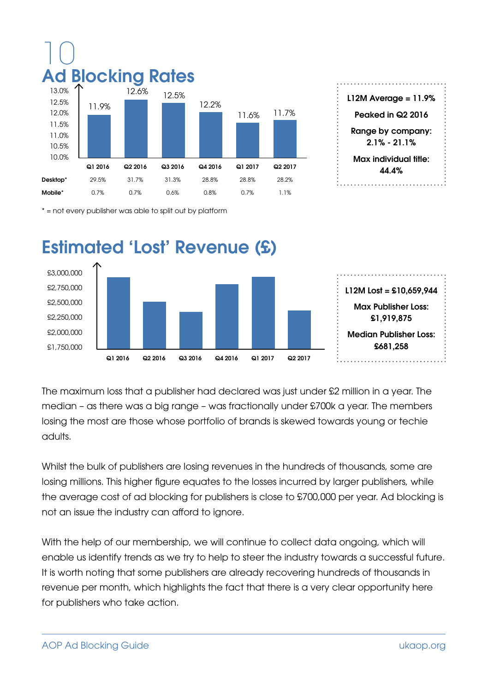

\* = not every publisher was able to split out by platform



The maximum loss that a publisher had declared was just under £2 million in a year. The median – as there was a big range – was fractionally under £700k a year. The members losing the most are those whose portfolio of brands is skewed towards young or techie adults.

Whilst the bulk of publishers are losing revenues in the hundreds of thousands, some are losing millions. This higher figure equates to the losses incurred by larger publishers, while the average cost of ad blocking for publishers is close to £700,000 per year. Ad blocking is not an issue the industry can afford to ignore.

With the help of our membership, we will continue to collect data ongoing, which will enable us identify trends as we try to help to steer the industry towards a successful future. It is worth noting that some publishers are already recovering hundreds of thousands in revenue per month, which highlights the fact that there is a very clear opportunity here for publishers who take action.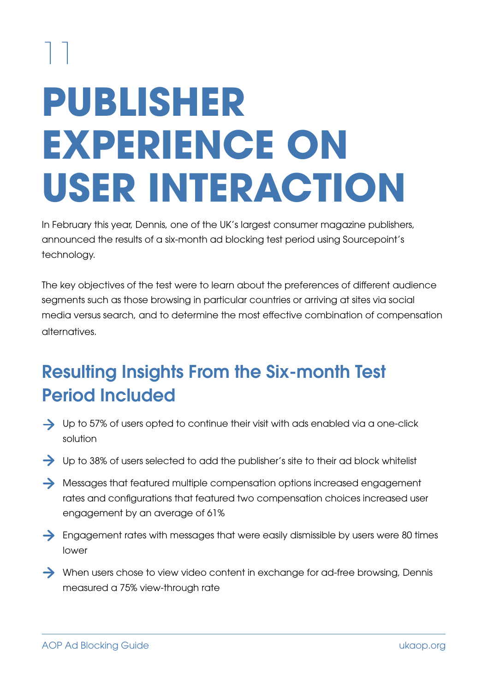# 11 **PUBLISHER EXPERIENCE ON USER INTERACTION**

In February this year, Dennis, one of the UK's largest consumer magazine publishers, announced the results of a six-month ad blocking test period using Sourcepoint's technology.

The key objectives of the test were to learn about the preferences of different audience segments such as those browsing in particular countries or arriving at sites via social media versus search, and to determine the most effective combination of compensation alternatives.

### Resulting Insights From the Six-month Test Period Included

- $\rightarrow$  Up to 57% of users opted to continue their visit with ads enabled via a one-click solution
- Up to 38% of users selected to add the publisher's site to their ad block whitelist
- $\rightarrow$  Messages that featured multiple compensation options increased engagement rates and configurations that featured two compensation choices increased user engagement by an average of 61%
- $\rightarrow$  Engagement rates with messages that were easily dismissible by users were 80 times lower
- When users chose to view video content in exchange for ad-free browsing, Dennis measured a 75% view-through rate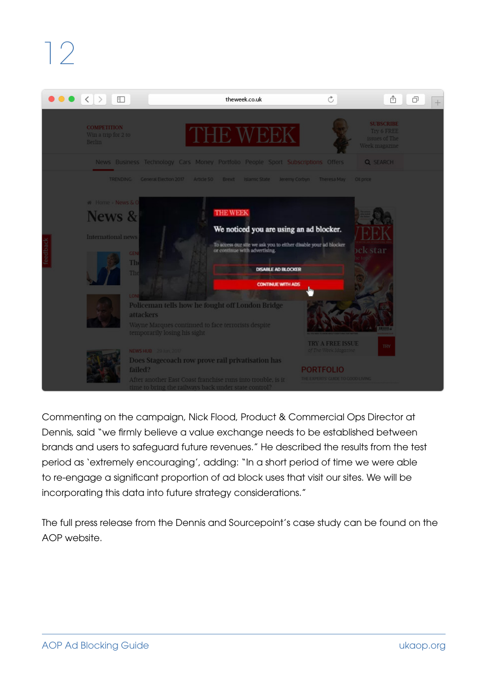

Commenting on the campaign, Nick Flood, Product & Commercial Ops Director at Dennis, said "we firmly believe a value exchange needs to be established between brands and users to safeguard future revenues." He described the results from the test period as 'extremely encouraging', adding: "In a short period of time we were able to re-engage a significant proportion of ad block uses that visit our sites. We will be incorporating this data into future strategy considerations."

The full press release from the Dennis and Sourcepoint's case study can be found on the AOP website.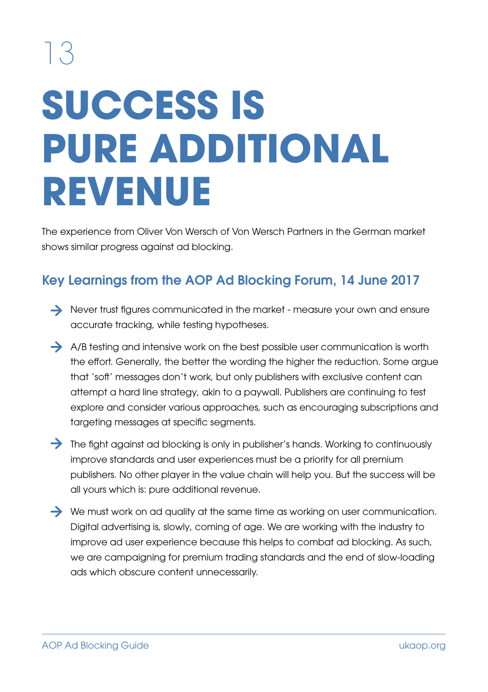# **SUCCESS IS PURE ADDITIONAL REVENUE**

The experience from Oliver Von Wersch of Von Wersch Partners in the German market shows similar progress against ad blocking.

#### Key Learnings from the AOP Ad Blocking Forum, 14 June 2017

- Never trust figures communicated in the market measure your own and ensure accurate tracking, while testing hypotheses.
- $\rightarrow$  A/B testing and intensive work on the best possible user communication is worth the effort. Generally, the better the wording the higher the reduction. Some argue that 'soft' messages don't work, but only publishers with exclusive content can attempt a hard line strategy, akin to a paywall. Publishers are continuing to test explore and consider various approaches, such as encouraging subscriptions and targeting messages at specific segments.
- The fight against ad blocking is only in publisher's hands. Working to continuously improve standards and user experiences must be a priority for all premium publishers. No other player in the value chain will help you. But the success will be all yours which is: pure additional revenue.
- $\rightarrow$  We must work on ad quality at the same time as working on user communication. Digital advertising is, slowly, coming of age. We are working with the industry to improve ad user experience because this helps to combat ad blocking. As such, we are campaigning for premium trading standards and the end of slow-loading ads which obscure content unnecessarily.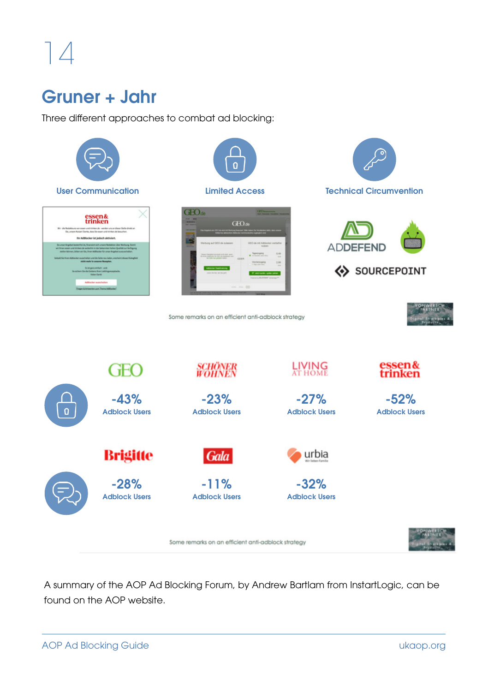### Gruner + Jahr

Three different approaches to combat ad blocking:



A summary of the AOP Ad Blocking Forum, by Andrew Bartlam from InstartLogic, can be found on the AOP website.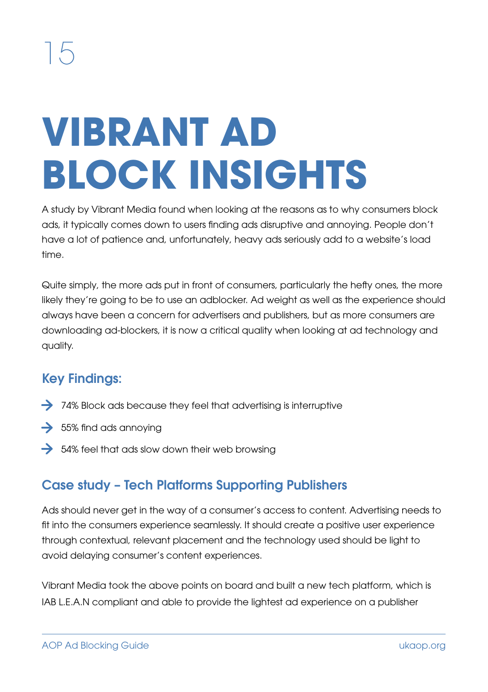# **VIBRANT AD BLOCK INSIGHTS**

A study by Vibrant Media found when looking at the reasons as to why consumers block ads, it typically comes down to users finding ads disruptive and annoying. People don't have a lot of patience and, unfortunately, heavy ads seriously add to a website's load time.

Quite simply, the more ads put in front of consumers, particularly the hefty ones, the more likely they're going to be to use an adblocker. Ad weight as well as the experience should always have been a concern for advertisers and publishers, but as more consumers are downloading ad-blockers, it is now a critical quality when looking at ad technology and quality.

#### Key Findings:

- $\rightarrow$  74% Block ads because they feel that advertising is interruptive
- $\rightarrow$  55% find ads annoying
- $\rightarrow$  54% feel that ads slow down their web browsing

#### Case study – Tech Platforms Supporting Publishers

Ads should never get in the way of a consumer's access to content. Advertising needs to fit into the consumers experience seamlessly. It should create a positive user experience through contextual, relevant placement and the technology used should be light to avoid delaying consumer's content experiences.

Vibrant Media took the above points on board and built a new tech platform, which is IAB L.E.A.N compliant and able to provide the lightest ad experience on a publisher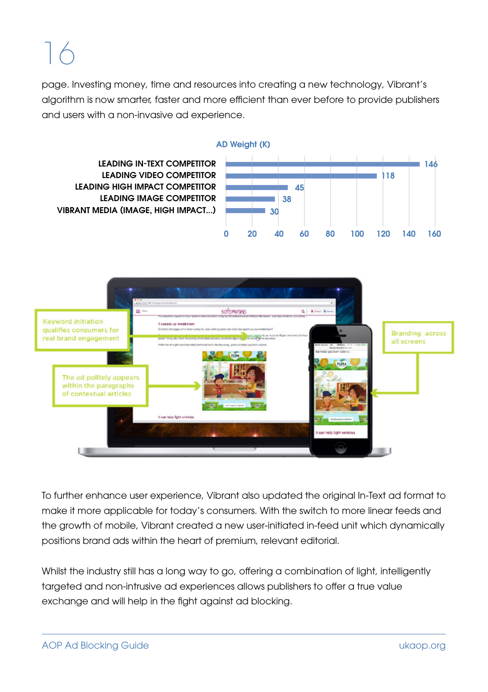page. Investing money, time and resources into creating a new technology, Vibrant's algorithm is now smarter, faster and more efficient than ever before to provide publishers and users with a non-invasive ad experience.





To further enhance user experience, Vibrant also updated the original In-Text ad format to make it more applicable for today's consumers. With the switch to more linear feeds and the growth of mobile, Vibrant created a new user-initiated in-feed unit which dynamically positions brand ads within the heart of premium, relevant editorial.

Whilst the industry still has a long way to go, offering a combination of light, intelligently targeted and non-intrusive ad experiences allows publishers to offer a true value exchange and will help in the fight against ad blocking.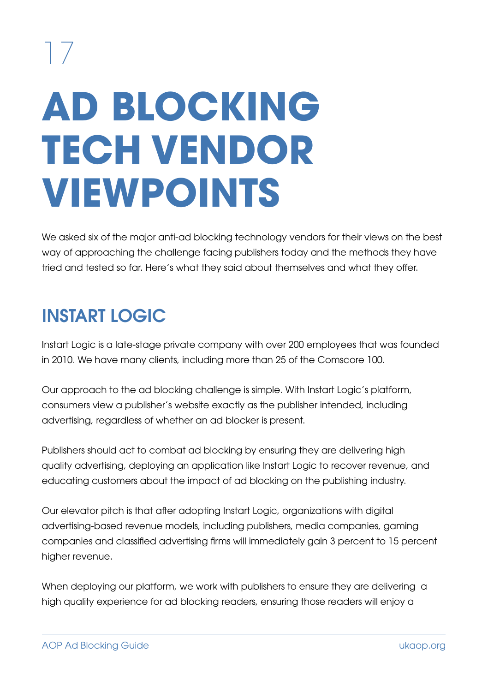# **AD BLOCKING TECH VENDOR VIEWPOINTS**

We asked six of the major anti-ad blocking technology vendors for their views on the best way of approaching the challenge facing publishers today and the methods they have tried and tested so far. Here's what they said about themselves and what they offer.

### INSTART LOGIC

Instart Logic is a late-stage private company with over 200 employees that was founded in 2010. We have many clients, including more than 25 of the Comscore 100.

Our approach to the ad blocking challenge is simple. With Instart Logic's platform, consumers view a publisher's website exactly as the publisher intended, including advertising, regardless of whether an ad blocker is present.

Publishers should act to combat ad blocking by ensuring they are delivering high quality advertising, deploying an application like Instart Logic to recover revenue, and educating customers about the impact of ad blocking on the publishing industry.

Our elevator pitch is that after adopting Instart Logic, organizations with digital advertising-based revenue models, including publishers, media companies, gaming companies and classified advertising firms will immediately gain 3 percent to 15 percent higher revenue.

When deploying our platform, we work with publishers to ensure they are delivering a high quality experience for ad blocking readers, ensuring those readers will enjoy a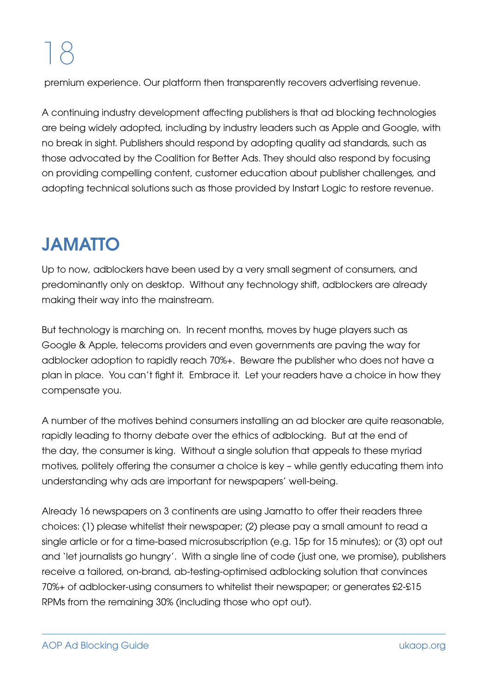premium experience. Our platform then transparently recovers advertising revenue.

A continuing industry development affecting publishers is that ad blocking technologies are being widely adopted, including by industry leaders such as Apple and Google, with no break in sight. Publishers should respond by adopting quality ad standards, such as those advocated by the Coalition for Better Ads. They should also respond by focusing on providing compelling content, customer education about publisher challenges, and adopting technical solutions such as those provided by Instart Logic to restore revenue.

## JAMATTO

Up to now, adblockers have been used by a very small segment of consumers, and predominantly only on desktop. Without any technology shift, adblockers are already making their way into the mainstream.

But technology is marching on. In recent months, moves by huge players such as Google & Apple, telecoms providers and even governments are paving the way for adblocker adoption to rapidly reach 70%+. Beware the publisher who does not have a plan in place. You can't fight it. Embrace it. Let your readers have a choice in how they compensate you.

A number of the motives behind consumers installing an ad blocker are quite reasonable, rapidly leading to thorny debate over the ethics of adblocking. But at the end of the day, the consumer is king. Without a single solution that appeals to these myriad motives, politely offering the consumer a choice is key – while gently educating them into understanding why ads are important for newspapers' well-being.

Already 16 newspapers on 3 continents are using Jamatto to offer their readers three choices: (1) please whitelist their newspaper; (2) please pay a small amount to read a single article or for a time-based microsubscription (e.g. 15p for 15 minutes); or (3) opt out and 'let journalists go hungry'. With a single line of code (just one, we promise), publishers receive a tailored, on-brand, ab-testing-optimised adblocking solution that convinces 70%+ of adblocker-using consumers to whitelist their newspaper; or generates £2-£15 RPMs from the remaining 30% (including those who opt out).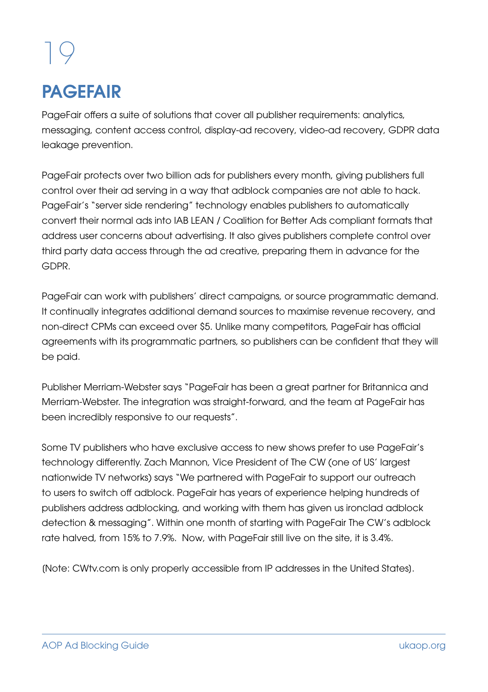### **PAGFFAIR**

PageFair offers a suite of solutions that cover all publisher requirements: analytics, messaging, content access control, display-ad recovery, video-ad recovery, GDPR data leakage prevention.

PageFair protects over two billion ads for publishers every month, giving publishers full control over their ad serving in a way that adblock companies are not able to hack. PageFair's "server side rendering" technology enables publishers to automatically convert their normal ads into IAB LEAN / Coalition for Better Ads compliant formats that address user concerns about advertising. It also gives publishers complete control over third party data access through the ad creative, preparing them in advance for the GDPR.

PageFair can work with publishers' direct campaigns, or source programmatic demand. It continually integrates additional demand sources to maximise revenue recovery, and non-direct CPMs can exceed over \$5. Unlike many competitors, PageFair has official agreements with its programmatic partners, so publishers can be confident that they will be paid.

Publisher Merriam-Webster says "PageFair has been a great partner for Britannica and Merriam-Webster. The integration was straight-forward, and the team at PageFair has been incredibly responsive to our requests".

Some TV publishers who have exclusive access to new shows prefer to use PageFair's technology differently. Zach Mannon, Vice President of The CW (one of US' largest nationwide TV networks) says "We partnered with PageFair to support our outreach to users to switch off adblock. PageFair has years of experience helping hundreds of publishers address adblocking, and working with them has given us ironclad adblock detection & messaging". Within one month of starting with PageFair The CW's adblock rate halved, from 15% to 7.9%. Now, with PageFair still live on the site, it is 3.4%.

[Note: CWtv.com is only properly accessible from IP addresses in the United States].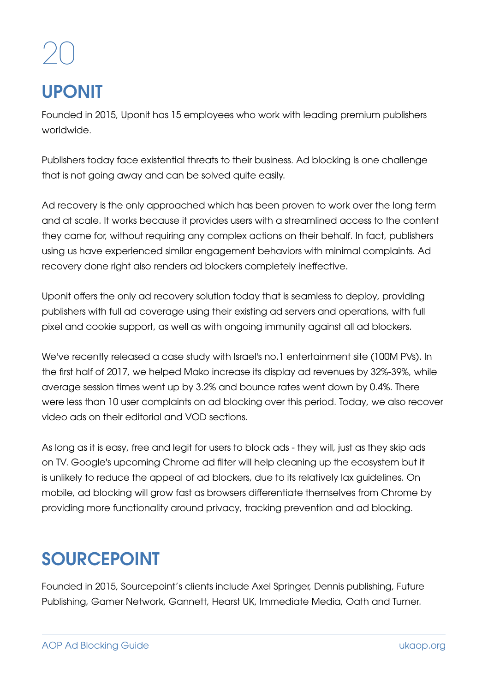## UPONIT

Founded in 2015, Uponit has 15 employees who work with leading premium publishers worldwide.

Publishers today face existential threats to their business. Ad blocking is one challenge that is not going away and can be solved quite easily.

Ad recovery is the only approached which has been proven to work over the long term and at scale. It works because it provides users with a streamlined access to the content they came for, without requiring any complex actions on their behalf. In fact, publishers using us have experienced similar engagement behaviors with minimal complaints. Ad recovery done right also renders ad blockers completely ineffective.

Uponit offers the only ad recovery solution today that is seamless to deploy, providing publishers with full ad coverage using their existing ad servers and operations, with full pixel and cookie support, as well as with ongoing immunity against all ad blockers.

We've recently released a case study with Israel's no.1 entertainment site (100M PVs). In the first half of 2017, we helped Mako increase its display ad revenues by 32%-39%, while average session times went up by 3.2% and bounce rates went down by 0.4%. There were less than 10 user complaints on ad blocking over this period. Today, we also recover video ads on their editorial and VOD sections.

As long as it is easy, free and legit for users to block ads - they will, just as they skip ads on TV. Google's upcoming Chrome ad filter will help cleaning up the ecosystem but it is unlikely to reduce the appeal of ad blockers, due to its relatively lax guidelines. On mobile, ad blocking will grow fast as browsers differentiate themselves from Chrome by providing more functionality around privacy, tracking prevention and ad blocking.

## SOURCEPOINT

Founded in 2015, Sourcepoint's clients include Axel Springer, Dennis publishing, Future Publishing, Gamer Network, Gannett, Hearst UK, Immediate Media, Oath and Turner.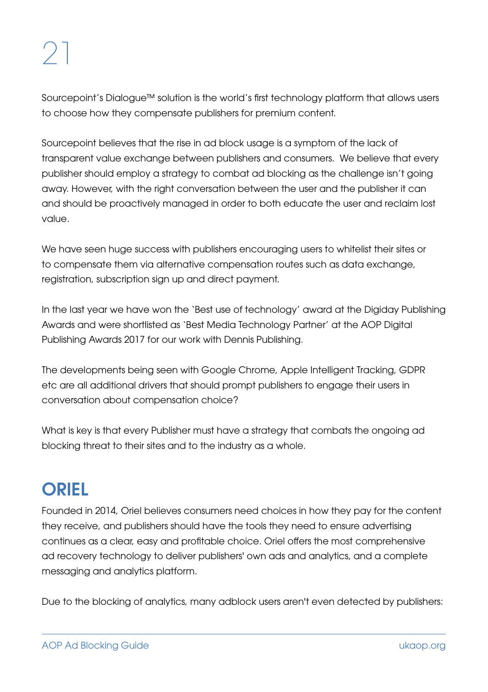Sourcepoint's Dialogue™ solution is the world's first technology platform that allows users to choose how they compensate publishers for premium content.

Sourcepoint believes that the rise in ad block usage is a symptom of the lack of transparent value exchange between publishers and consumers. We believe that every publisher should employ a strategy to combat ad blocking as the challenge isn't going away. However, with the right conversation between the user and the publisher it can and should be proactively managed in order to both educate the user and reclaim lost value.

We have seen huge success with publishers encouraging users to whitelist their sites or to compensate them via alternative compensation routes such as data exchange, registration, subscription sign up and direct payment.

In the last year we have won the 'Best use of technology' award at the Digiday Publishing Awards and were shortlisted as 'Best Media Technology Partner' at the AOP Digital Publishing Awards 2017 for our work with Dennis Publishing.

The developments being seen with Google Chrome, Apple Intelligent Tracking, GDPR etc are all additional drivers that should prompt publishers to engage their users in conversation about compensation choice?

What is key is that every Publisher must have a strategy that combats the ongoing ad blocking threat to their sites and to the industry as a whole.

### **ORIEL**

Founded in 2014, Oriel believes consumers need choices in how they pay for the content they receive, and publishers should have the tools they need to ensure advertising continues as a clear, easy and profitable choice. Oriel offers the most comprehensive ad recovery technology to deliver publishers' own ads and analytics, and a complete messaging and analytics platform.

Due to the blocking of analytics, many adblock users aren't even detected by publishers: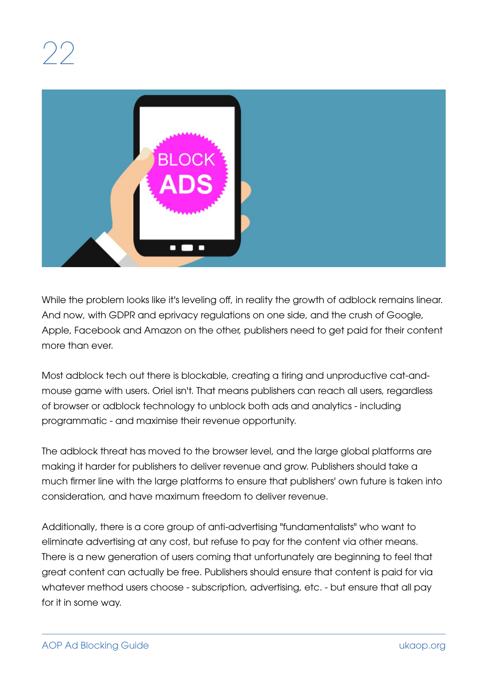

While the problem looks like it's leveling off, in reality the growth of adblock remains linear. And now, with GDPR and eprivacy regulations on one side, and the crush of Google, Apple, Facebook and Amazon on the other, publishers need to get paid for their content more than ever.

Most adblock tech out there is blockable, creating a tiring and unproductive cat-andmouse game with users. Oriel isn't. That means publishers can reach all users, regardless of browser or adblock technology to unblock both ads and analytics - including programmatic - and maximise their revenue opportunity.

The adblock threat has moved to the browser level, and the large global platforms are making it harder for publishers to deliver revenue and grow. Publishers should take a much firmer line with the large platforms to ensure that publishers' own future is taken into consideration, and have maximum freedom to deliver revenue.

Additionally, there is a core group of anti-advertising "fundamentalists" who want to eliminate advertising at any cost, but refuse to pay for the content via other means. There is a new generation of users coming that unfortunately are beginning to feel that great content can actually be free. Publishers should ensure that content is paid for via whatever method users choose - subscription, advertising, etc. - but ensure that all pay for it in some way.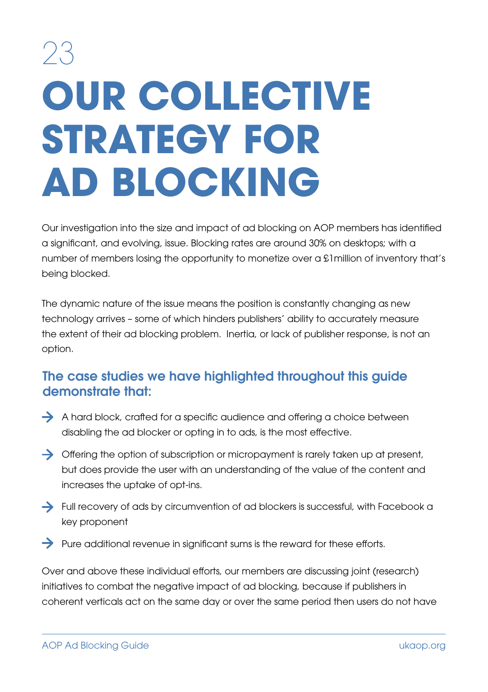# 23 **OUR COLLECTIVE STRATEGY FOR AD BLOCKING**

Our investigation into the size and impact of ad blocking on AOP members has identified a significant, and evolving, issue. Blocking rates are around 30% on desktops; with a number of members losing the opportunity to monetize over a £1million of inventory that's being blocked.

The dynamic nature of the issue means the position is constantly changing as new technology arrives – some of which hinders publishers' ability to accurately measure the extent of their ad blocking problem. Inertia, or lack of publisher response, is not an option.

#### The case studies we have highlighted throughout this guide demonstrate that:

- A hard block, crafted for a specific audience and offering a choice between disabling the ad blocker or opting in to ads, is the most effective.
- $\rightarrow$  Offering the option of subscription or micropayment is rarely taken up at present, but does provide the user with an understanding of the value of the content and increases the uptake of opt-ins.
- Full recovery of ads by circumvention of ad blockers is successful, with Facebook a key proponent
- $\rightarrow$  Pure additional revenue in significant sums is the reward for these efforts.

Over and above these individual efforts, our members are discussing joint (research) initiatives to combat the negative impact of ad blocking, because if publishers in coherent verticals act on the same day or over the same period then users do not have